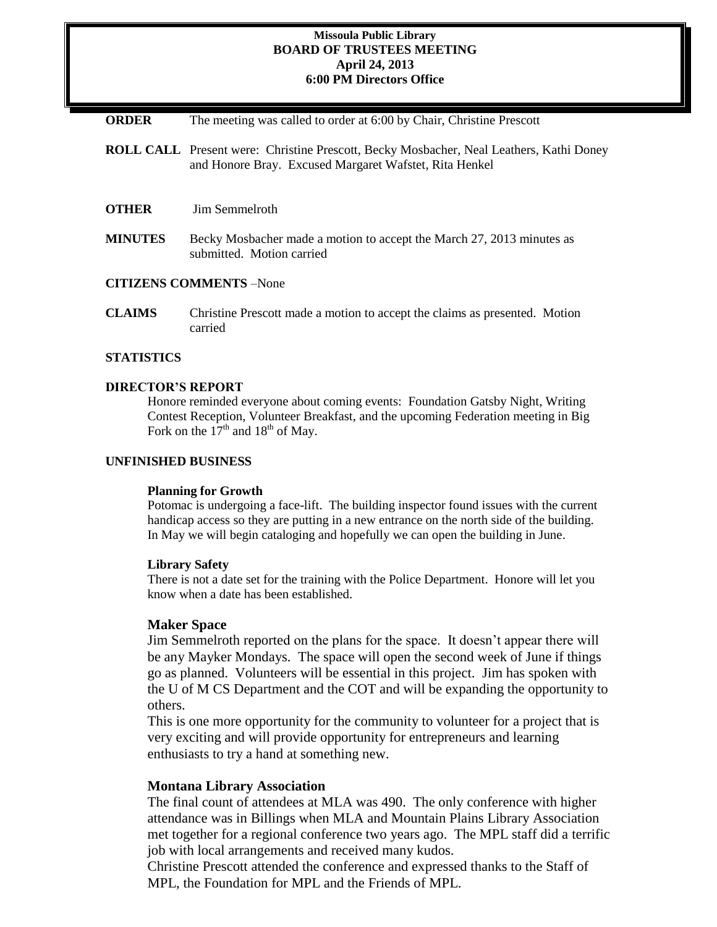## **Missoula Public Library BOARD OF TRUSTEES MEETING April 24, 2013 6:00 PM Directors Office**

**ORDER** The meeting was called to order at 6:00 by Chair, Christine Prescott

- **ROLL CALL** Present were: Christine Prescott, Becky Mosbacher, Neal Leathers, Kathi Doney and Honore Bray. Excused Margaret Wafstet, Rita Henkel
- **OTHER** Jim Semmelroth
- **MINUTES** Becky Mosbacher made a motion to accept the March 27, 2013 minutes as submitted. Motion carried

# **CITIZENS COMMENTS** –None

**CLAIMS** Christine Prescott made a motion to accept the claims as presented. Motion carried

#### **STATISTICS**

## **DIRECTOR'S REPORT**

Honore reminded everyone about coming events: Foundation Gatsby Night, Writing Contest Reception, Volunteer Breakfast, and the upcoming Federation meeting in Big Fork on the  $17<sup>th</sup>$  and  $18<sup>th</sup>$  of May.

### **UNFINISHED BUSINESS**

#### **Planning for Growth**

Potomac is undergoing a face-lift. The building inspector found issues with the current handicap access so they are putting in a new entrance on the north side of the building. In May we will begin cataloging and hopefully we can open the building in June.

#### **Library Safety**

There is not a date set for the training with the Police Department. Honore will let you know when a date has been established.

# **Maker Space**

Jim Semmelroth reported on the plans for the space. It doesn't appear there will be any Mayker Mondays. The space will open the second week of June if things go as planned. Volunteers will be essential in this project. Jim has spoken with the U of M CS Department and the COT and will be expanding the opportunity to others.

This is one more opportunity for the community to volunteer for a project that is very exciting and will provide opportunity for entrepreneurs and learning enthusiasts to try a hand at something new.

## **Montana Library Association**

The final count of attendees at MLA was 490. The only conference with higher attendance was in Billings when MLA and Mountain Plains Library Association met together for a regional conference two years ago. The MPL staff did a terrific job with local arrangements and received many kudos.

Christine Prescott attended the conference and expressed thanks to the Staff of MPL, the Foundation for MPL and the Friends of MPL.